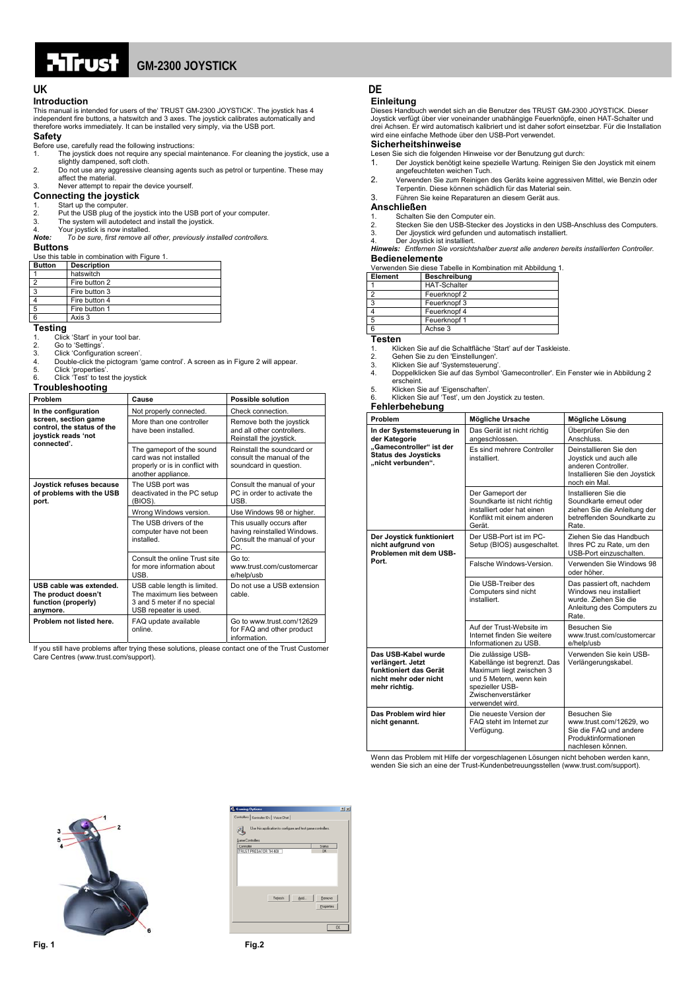# ਮਸਾਤ

#### **Introduction**

This manual is intended for users of the' TRUST GM-2300 JOYSTICK'. The joystick has 4 independent fire buttons, a hatswitch and 3 axes. The joystick calibrates automatically and therefore works immediately. It can be installed very simply, via the USB port.

### **Safety**

- Before use, carefully read the following instructions:<br>1 The joystick does not require any special ma
- 1. The joystick does not require any special maintenance. For cleaning the joystick, use a slightly dampened, soft cloth.
- 2. Do not use any aggressive cleansing agents such as petrol or turpentine. These may affect the material. 3. Never attempt to repair the device yourself.

## **Connecting the joystick**

- 
- 1. Start up the computer.<br>2. Put the USB plug of the joystick into the USB port of your computer.<br>3. The system will autodetect and install the joystick.
- 
- 4. Your joystick is now installed.<br>**Note:** To be sure, first remove all *Note: To be sure, first remove all other, previously installed controllers.*

#### **Buttons**

 $\overline{\phantom{a}}$ 

| Use this table in combination with Figure 1. |                           |  |
|----------------------------------------------|---------------------------|--|
|                                              | <b>Button</b> Description |  |
|                                              | hatswitch                 |  |

| naiswiich     |
|---------------|
| Fire button 2 |
| Fire button 3 |
| Fire button 4 |
| Fire button 1 |
| Axis 3        |
|               |

### **Testing**

1. Click 'Start' in your tool bar.

- 2. Go to 'Settings'. 3. Click 'Configuration screen'.
- 
- 4. Double-click the pictogram 'game control'. A screen as in Figure 2 will appear.<br>
Figure 2 Will appear.
- 5. Click 'properties'.

| Unun proportion.<br>Click 'Test' to test the joystick<br>6.<br>Troubleshooting           |                                                                                                                  |                                                                                               |
|------------------------------------------------------------------------------------------|------------------------------------------------------------------------------------------------------------------|-----------------------------------------------------------------------------------------------|
| Problem                                                                                  | Cause                                                                                                            | <b>Possible solution</b>                                                                      |
| In the configuration                                                                     | Not properly connected.                                                                                          | Check connection.                                                                             |
| screen, section game<br>control, the status of the<br>joystick reads 'not<br>connected'. | More than one controller<br>have been installed.                                                                 | Remove both the joystick<br>and all other controllers.<br>Reinstall the joystick.             |
|                                                                                          | The gameport of the sound<br>card was not installed<br>properly or is in conflict with<br>another appliance.     | Reinstall the soundcard or<br>consult the manual of the<br>soundcard in question.             |
| Joystick refuses because<br>of problems with the USB<br>port.                            | The USB port was<br>deactivated in the PC setup<br>(BIOS).                                                       | Consult the manual of your<br>PC in order to activate the<br>USB.                             |
|                                                                                          | Wrong Windows version.                                                                                           | Use Windows 98 or higher.                                                                     |
|                                                                                          | The USB drivers of the<br>computer have not been<br>installed.                                                   | This usually occurs after<br>having reinstalled Windows.<br>Consult the manual of your<br>PC. |
|                                                                                          | Consult the online Trust site<br>for more information about<br>USB.                                              | Go to:<br>www.trust.com/customercar<br>e/help/usb                                             |
| USB cable was extended.<br>The product doesn't<br>function (properly)<br>anymore.        | USB cable length is limited.<br>The maximum lies between<br>3 and 5 meter if no special<br>USB repeater is used. | Do not use a USB extension<br>cable.                                                          |
| Problem not listed here.                                                                 | FAQ update available<br>online.                                                                                  | Go to www.trust.com/12629<br>for FAQ and other product<br>information.                        |

If you still have problems after trying these solutions, please contact one of the Trust Customer Care Centres (www.trust.com/support).

## **UK DE**

### **Einleitung**

Dieses Handbuch wendet sich an die Benutzer des TRUST GM-2300 JOYSTICK. Dieser Joystick verfügt über vier voneinander unabhängige Feuerknöpfe, einen HAT-Schalter und drei Achsen. Er wird automatisch kalibriert und ist daher sofort einsetzbar. Für die Installation wird eine einfache Methode über den USB-Port verwendet.

### **Sicherheitshinweise**

- Lesen Sie sich die folgenden Hinweise vor der Benutzung gut durch:
- 1. Der Joystick benötigt keine spezielle Wartung. Reinigen Sie den Joystick mit einem angefeuchteten weichen Tuch.
- 2. Verwenden Sie zum Reinigen des Geräts keine aggressiven Mittel, wie Benzin oder Terpentin. Diese können schädlich für das Material sein.
- 
- 3. Führen Sie keine Reparaturen an diesem Gerät aus.

### **Anschließen**

- 
- 1. Schalten Sie den Computer ein. 2. Stecken Sie den USB-Stecker des Joysticks in den USB-Anschluss des Computers.
- 

3. Der Jjoystick wird gefunden und automatisch installiert.<br>4. Der Joystick ist installiert.<br>**Hinweis: E**ntfernen Sie vorsichtshalber zuerst alle anderen bereits installierten Controller. **Bedienelemente** 

Verwenden Sie diese Tabelle in Kombination mit Abbildung 1.

| Element | Beschreibung        |
|---------|---------------------|
|         | <b>HAT-Schalter</b> |
|         | Feuerknopf 2        |
| ٩       | Feuerknopf 3        |
|         | Feuerknopf 4        |
| 5       | Feuerknopf 1        |
| ี       | Achse 3             |
|         |                     |

#### **Testen**

1. Klicken Sie auf die Schaltfläche 'Start' auf der Taskleiste.<br>2. Gehen Sie zu den 'Einstellungen'.

- 2. Gehen Sie zu den 'Einstellungen'. 3. Klicken Sie auf 'Systemsteuerung'.
- 
- 4. Doppelklicken Sie auf das Symbol 'Gamecontroller'. Ein Fenster wie in Abbildung 2 erscheint.
- 

5. Klicken Sie auf 'Eigenschaften'. 6. Klicken Sie auf 'Test', um den Joystick zu testen.

| Fehlerbehebung                                                                                               |                                                                                                                                                                       |                                                                                                                           |  |
|--------------------------------------------------------------------------------------------------------------|-----------------------------------------------------------------------------------------------------------------------------------------------------------------------|---------------------------------------------------------------------------------------------------------------------------|--|
| Problem                                                                                                      | Mögliche Ursache                                                                                                                                                      | Mögliche Lösung                                                                                                           |  |
| In der Systemsteuerung in<br>der Kategorie                                                                   | Das Gerät ist nicht richtig<br>angeschlossen.                                                                                                                         | Überprüfen Sie den<br>Anschluss.                                                                                          |  |
| "Gamecontroller" ist der<br><b>Status des Joysticks</b><br>"nicht verbunden".                                | Es sind mehrere Controller<br>installiert.                                                                                                                            | Deinstallieren Sie den<br>Joystick und auch alle<br>anderen Controller.<br>Installieren Sie den Joystick<br>noch ein Mal. |  |
|                                                                                                              | Der Gameport der<br>Soundkarte ist nicht richtig<br>installiert oder hat einen<br>Konflikt mit einem anderen<br>Gerät.                                                | Installieren Sie die<br>Soundkarte erneut oder<br>ziehen Sie die Anleitung der<br>betreffenden Soundkarte zu<br>Rate.     |  |
| Der Joystick funktioniert<br>nicht aufgrund von<br>Problemen mit dem USB-                                    | Der USB-Port ist im PC-<br>Setup (BIOS) ausgeschaltet.                                                                                                                | Ziehen Sie das Handbuch<br>Ihres PC zu Rate, um den<br>USB-Port einzuschalten.                                            |  |
| Port.                                                                                                        | Falsche Windows-Version.                                                                                                                                              | Verwenden Sie Windows 98<br>oder höher.                                                                                   |  |
|                                                                                                              | Die USB-Treiber des<br>Computers sind nicht<br>installiert.                                                                                                           | Das passiert oft, nachdem<br>Windows neu installiert<br>wurde. Ziehen Sie die<br>Anleitung des Computers zu<br>Rate.      |  |
|                                                                                                              | Auf der Trust-Website im<br>Internet finden Sie weitere<br>Informationen zu USB.                                                                                      | Besuchen Sie<br>www.trust.com/customercar<br>e/help/usb                                                                   |  |
| Das USB-Kabel wurde<br>verlängert. Jetzt<br>funktioniert das Gerät<br>nicht mehr oder nicht<br>mehr richtig. | Die zulässige USB-<br>Kabellänge ist begrenzt. Das<br>Maximum liegt zwischen 3<br>und 5 Metern, wenn kein<br>spezieller USB-<br>Zwischenverstärker<br>verwendet wird. | Verwenden Sie kein USB-<br>Verlängerungskabel.                                                                            |  |
| Das Problem wird hier<br>nicht genannt.                                                                      | Die neueste Version der<br>FAQ steht im Internet zur<br>Verfügung.                                                                                                    | Besuchen Sie<br>www.trust.com/12629. wo<br>Sie die FAQ und andere<br>Produktinformationen<br>nachlesen können.            |  |

Wenn das Problem mit Hilfe der vorgeschlagenen Lösungen nicht behoben werden kann, wenden Sie sich an eine der Trust-Kundenbetreuungsstellen (www.trust.com/support).



| <b>Gaming Options</b>                                        | 7x         |
|--------------------------------------------------------------|------------|
| Controllers   Controller IDs   Voice Chat                    |            |
| Use this application to configure and test game controllers. |            |
| Game Controllers                                             |            |
| Controller                                                   | Status     |
| TRUST PREDATOR TH 400                                        | OK.        |
|                                                              |            |
| Rebeth<br>Add                                                | Benove     |
|                                                              | Properties |
|                                                              | OK         |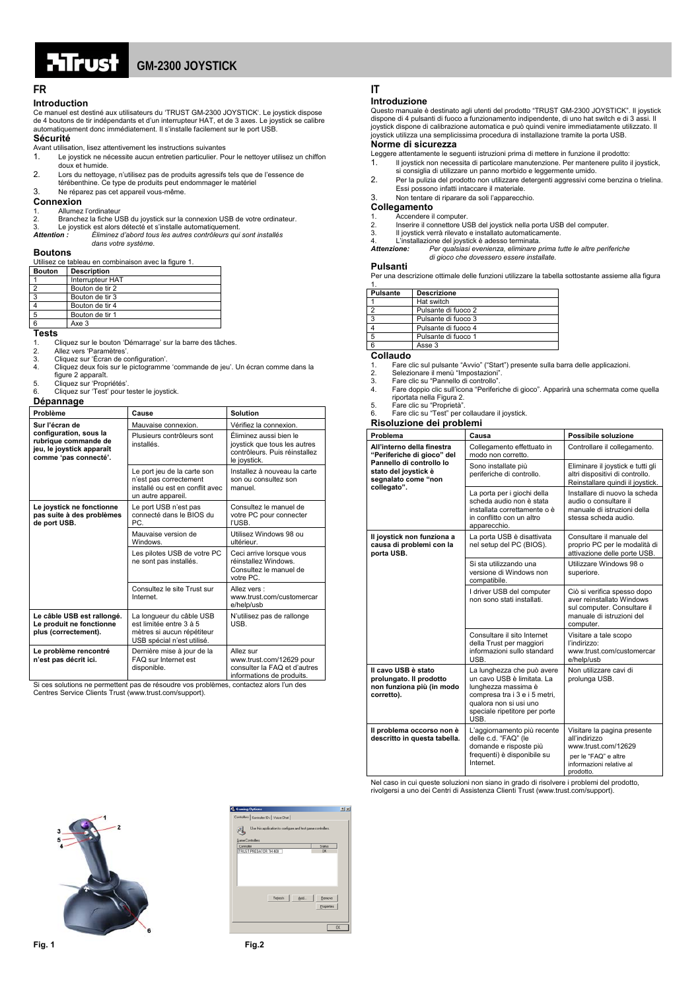

#### **FR** IT

#### **Introduction**

Ce manuel est destiné aux utilisateurs du 'TRUST GM-2300 JOYSTICK'. Le joystick dispose de 4 boutons de tir indépendants et d'un interrupteur HAT, et de 3 axes. Le joystick se calibre automatiquement donc immédiatement. Il s'installe facilement sur le port USB.

#### **Sécurité**

- Avant utilisation, lisez attentivement les instructions suivantes
- 1. Le joystick ne nécessite aucun entretien particulier. Pour le nettoyer utilisez un chiffon doux et humide.
- 2. Lors du nettoyage, n'utilisez pas de produits agressifs tels que de l'essence de térébenthine. Ce type de produits peut endommager le matériel
- 3. Ne réparez pas cet appareil vous-même.
- **Connexion**
- Allumez l'ordinateur 2. Branchez la fiche USB du joystick sur la connexion USB de votre ordinateur.<br>2. Branchez la fiche USB du joystick sur la connexion USB de votre ordinateur.
- 3. Le joystick est alors détecté et s'installe automatiquement. *Attention : Éliminez d'abord tous les autres contrôleurs qui sont installés* 
	- *dans votre système.*

#### **Boutons**

Utilisez ce tableau en combinaison avec la figure 1.

| <b>Bouton</b> | <b>Description</b> |
|---------------|--------------------|
|               | Interrupteur HAT   |
|               | Bouton de tir 2    |
|               | Bouton de tir 3    |
|               | Bouton de tir 4    |
| 5             | Bouton de tir 1    |
|               | Axe <sub>3</sub>   |

#### **Tests**

1. Cliquez sur le bouton 'Démarrage' sur la barre des tâches.

2. Allez vers 'Paramètres'.<br>3. Cliquez sur 'Écran de comparation de la Cliquez deux fois sur le

- 3. Cliquez sur 'Écran de configuration'. 4. Cliquez deux fois sur le pictogramme 'commande de jeu'. Un écran comme dans la
- figure 2 apparaît. 5. Cliquez sur 'Propriétés'.
- 6. Cliquez sur 'Test' pour tester le joystick.

#### **Dépannage**

| Problème                                                                                             | Cause                                                                                                           | Solution                                                                                                |
|------------------------------------------------------------------------------------------------------|-----------------------------------------------------------------------------------------------------------------|---------------------------------------------------------------------------------------------------------|
| Sur l'écran de                                                                                       | Mauvaise connexion.                                                                                             | Vérifiez la connexion.                                                                                  |
| configuration, sous la<br>rubrique commande de<br>jeu, le joystick apparaît<br>comme 'pas connecté'. | Plusieurs contrôleurs sont<br>installés.                                                                        | Éliminez aussi bien le<br>joystick que tous les autres<br>contrôleurs. Puis réinstallez<br>le joystick. |
|                                                                                                      | Le port jeu de la carte son<br>n'est pas correctement<br>installé ou est en conflit avec<br>un autre appareil.  | Installez à nouveau la carte<br>son ou consultez son<br>manuel.                                         |
| Le joystick ne fonctionne<br>pas suite à des problèmes<br>de port USB.                               | Le port USB n'est pas<br>connecté dans le BIOS du<br>PC.                                                        | Consultez le manuel de<br>votre PC pour connecter<br>l'USB.                                             |
|                                                                                                      | Mauvaise version de<br>Windows.                                                                                 | Utilisez Windows 98 ou<br>ultérieur.                                                                    |
|                                                                                                      | Les pilotes USB de votre PC<br>ne sont pas installés.                                                           | Ceci arrive lorsque vous<br>réinstallez Windows.<br>Consultez le manuel de<br>votre PC.                 |
|                                                                                                      | Consultez le site Trust sur<br>Internet.                                                                        | Allez vers:<br>www.trust.com/customercar<br>e/help/usb                                                  |
| Le câble USB est rallongé.<br>Le produit ne fonctionne<br>plus (correctement).                       | La longueur du câble USB<br>est limitée entre 3 à 5<br>mètres si aucun répétiteur<br>USB spécial n'est utilisé. | N'utilisez pas de rallonge<br><b>USB</b>                                                                |
| Le problème rencontré<br>n'est pas décrit ici.                                                       | Dernière mise à jour de la<br>FAQ sur Internet est<br>disponible.                                               | Allez sur<br>www.trust.com/12629 pour<br>consulter la FAQ et d'autres<br>informations de produits       |

informations de produits. Si ces solutions ne permettent pas de résoudre vos problèmes, contactez alors l'un des Centres Service Clients Trust (www.trust.com/support).

#### **Introduzione**

Questo manuale è destinato agli utenti del prodotto "TRUST GM-2300 JOYSTICK". Il joystick dispone di 4 pulsanti di fuoco a funzionamento indipendente, di uno hat switch e di 3 as joystick dispone di calibrazione automatica e può quindi venire immediatamente utilizzato. Il joystick utilizza una semplicissima procedura di installazione tramite la porta USB.

#### **Norme di sicurezza**

Leggere attentamente le seguenti istruzioni prima di mettere in funzione il prodotto:

- 1. Il joystick non necessita di particolare manutenzione. Per mantenere pulito il joystick,
- si consiglia di utilizzare un panno morbido e leggermente umido. 2. Per la pulizia del prodotto non utilizzare detergenti aggressivi come benzina o trielina.
- Essi possono infatti intaccare il materiale.
- 3. Non tentare di riparare da soli l'apparecchio.

#### **Collegamento Accendere il computer**

2. Inserie il computere USB del joystick nella porta USB del computer.<br>2. Inserire il connettore USB del joystick nella porta USB del computer.

- 
- 
- 3. Il joystick verrà rilevato e installato automaticamente. 4. L'installazione del joystick è adesso terminata. *Attenzione: Per qualsiasi evenienza, eliminare prima tutte le altre periferiche di gioco che dovessero essere installate.*

#### **Pulsanti**

Per una descrizione ottimale delle funzioni utilizzare la tabella sottostante assieme alla figura 1.

| <b>Pulsante</b> | <b>Descrizione</b>  |
|-----------------|---------------------|
|                 | Hat switch          |
|                 | Pulsante di fuoco 2 |
| c               | Pulsante di fuoco 3 |
|                 | Pulsante di fuoco 4 |
| 5               | Pulsante di fuoco 1 |
|                 | Asse 3              |

### **Collaudo**

- 1. Fare clic sul pulsante "Avvio" ("Start") presente sulla barra delle applicazioni.
- 2. Selezionare il menù "Impostazioni"<br>3. Fare clic su "Pannello di controllo".
- 3. Fare clic su "Pannello di controllo"<br>4. Fare doppio clic sull'icona "Perifer
- 4. Fare doppio clic sull'icona "Periferiche di gioco". Apparirà una schermata come quella riportata nella Figura 2.
- 5. Fare clic su "Proprietà".
- 6. Fare clic su "Test" per collaudare il joystick. **Risoluzione dei problemi**

| Problema                                                                                  | Causa                                                                                                                                                                               | Possibile soluzione                                                                                                                  |
|-------------------------------------------------------------------------------------------|-------------------------------------------------------------------------------------------------------------------------------------------------------------------------------------|--------------------------------------------------------------------------------------------------------------------------------------|
| All'interno della finestra<br>"Periferiche di gioco" del                                  | Collegamento effettuato in<br>modo non corretto.                                                                                                                                    | Controllare il collegamento.                                                                                                         |
| Pannello di controllo lo<br>stato del joystick è<br>segnalato come "non                   | Sono installate più<br>periferiche di controllo.                                                                                                                                    | Eliminare il joystick e tutti gli<br>altri dispositivi di controllo.<br>Reinstallare quindi il joystick.                             |
| collegato".                                                                               | La porta per i giochi della<br>scheda audio non è stata<br>installata correttamente o è<br>in conflitto con un altro<br>apparecchio.                                                | Installare di nuovo la scheda<br>audio o consultare il<br>manuale di istruzioni della<br>stessa scheda audio.                        |
| Il joystick non funziona a<br>causa di problemi con la<br>porta USB.                      | La porta USB è disattivata<br>nel setup del PC (BIOS).                                                                                                                              | Consultare il manuale del<br>proprio PC per le modalità di<br>attivazione delle porte USB.                                           |
|                                                                                           | Si sta utilizzando una<br>versione di Windows non<br>compatibile.                                                                                                                   | Utilizzare Windows 98 o<br>superiore.                                                                                                |
|                                                                                           | I driver USB del computer<br>non sono stati installati.                                                                                                                             | Ciò si verifica spesso dopo<br>aver reinstallato Windows<br>sul computer. Consultare il<br>manuale di istruzioni del<br>computer.    |
|                                                                                           | Consultare il sito Internet<br>della Trust per maggiori<br>informazioni sullo standard<br>USB.                                                                                      | Visitare a tale scopo<br>l'indirizzo:<br>www.trust.com/customercar<br>e/help/usb                                                     |
| Il cavo USB è stato<br>prolungato. Il prodotto<br>non funziona più (in modo<br>corretto). | La lunghezza che può avere<br>un cavo USB è limitata. La<br>lunghezza massima è<br>compresa tra i 3 e i 5 metri,<br>qualora non si usi uno<br>speciale ripetitore per porte<br>USB. | Non utilizzare cavi di<br>prolunga USB.                                                                                              |
| Il problema occorso non è<br>descritto in questa tabella.                                 | L'aggiornamento più recente<br>delle c.d. "FAQ" (le<br>domande e risposte più<br>frequenti) è disponibile su<br>Internet.                                                           | Visitare la pagina presente<br>all'indirizzo<br>www.trust.com/12629<br>per le "FAQ" e altre<br>informazioni relative al<br>prodotto. |

Nel caso in cui queste soluzioni non siano in grado di risolvere i problemi del prodotto, rivolgersi a uno dei Centri di Assistenza Clienti Trust (www.trust.com/support).



| Controllers   Controller IDs   Voice Chat  <br>Use this application to configure and test game controllers.<br>Game Controllers<br>Status<br>Controller<br>TRUST PREDATOR TH 400<br>OK. |
|-----------------------------------------------------------------------------------------------------------------------------------------------------------------------------------------|
|                                                                                                                                                                                         |
|                                                                                                                                                                                         |
|                                                                                                                                                                                         |
|                                                                                                                                                                                         |
|                                                                                                                                                                                         |
|                                                                                                                                                                                         |
|                                                                                                                                                                                         |
|                                                                                                                                                                                         |
|                                                                                                                                                                                         |
|                                                                                                                                                                                         |
|                                                                                                                                                                                         |
|                                                                                                                                                                                         |
| Rebeth<br>Add<br>Benove                                                                                                                                                                 |
|                                                                                                                                                                                         |
| Properties                                                                                                                                                                              |
|                                                                                                                                                                                         |
|                                                                                                                                                                                         |
| OK                                                                                                                                                                                      |
|                                                                                                                                                                                         |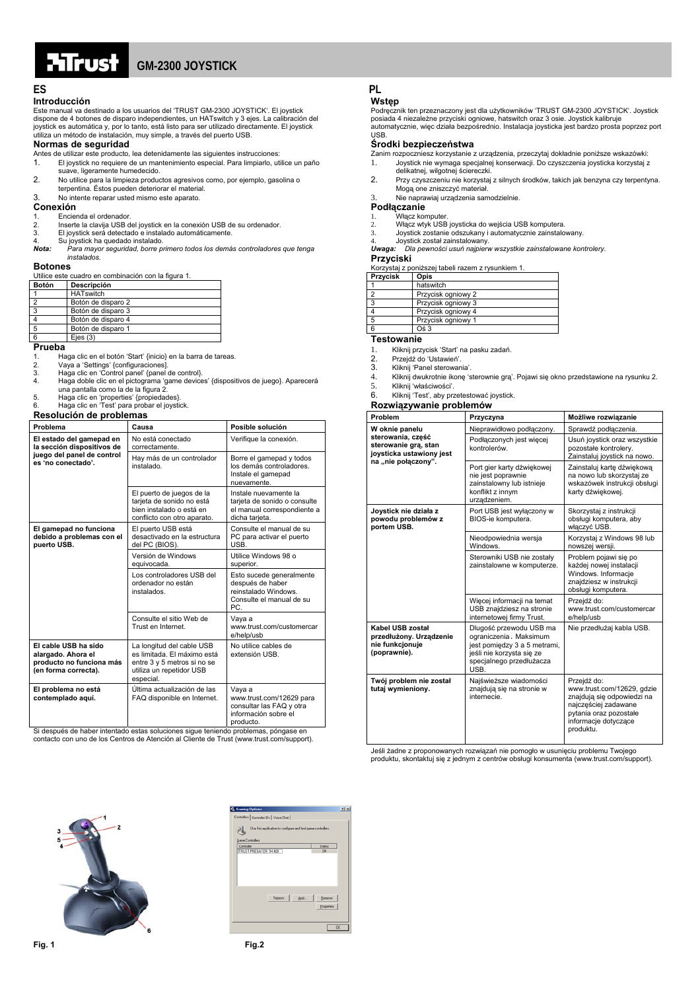

## **GM-2300 JOYSTICK**

### **Introducción**

Este manual va destinado a los usuarios del 'TRUST GM-2300 JOYSTICK'. El joystick dispone de 4 botones de disparo independientes, un HATswitch y 3 ejes. La calibración del joystick es automática y, por lo tanto, está listo para ser utilizado directamente. El joystick utiliza un método de instalación, muy simple, a través del puerto USB.

#### **Normas de seguridad**

Antes de utilizar este producto, lea detenidamente las siguientes instrucciones:

- 1. El joystick no requiere de un mantenimiento especial. Para limpiarlo, utilice un paño suave, ligeramente humedecido.
- 2. No utilice para la limpieza productos agresivos como, por ejemplo, gasolina o terpentina. Éstos pueden deteriorar el material.
- 3. No intente reparar usted mismo este aparato.

#### **Conexión**

#### 1. Encienda el ordenador.

- 2. Inserte la clavija USB del joystick en la conexión USB de su ordenador.<br>2. Inserte la clavija USB del joystick en la conexión USB de su ordenador.<br>3. El joystick será detectado e instalado automáticamente
- 3. El joystick será detectado e instalado automáticamente. 4. Su joystick ha quedado instalado.
- *Nota: Para mayor seguridad, borre primero todos los demás controladores que tenga instalados.*

#### **Botones**

Utilice este cuadro en combinación con la figura 1.

| <b>Botón</b> | Descripción        |
|--------------|--------------------|
|              | <b>HATswitch</b>   |
|              | Botón de disparo 2 |
|              | Botón de disparo 3 |
|              | Botón de disparo 4 |
|              | Botón de disparo 1 |

#### 6 Ejes (3)

**Prueba** 

- 1. Haga clic en el botón 'Start' {inicio} en la barra de tareas.<br>1. Nava a 'Settings' {configuraciones]
- 2. Vaya a 'Settings' {configuraciones]. 3. Haga clic en 'Control panel' {panel de control}.
- 3. Haga clic en 'Control panel' {panel de control}.<br>4. Haga doble clic en el pictograma 'game devices' {dispositivos de juego}. Aparecerá
- una pantalla como la de la figura 2.
- 5. Haga clic en 'properties' {propiedades}. 6. Haga clic en 'Test' para probar el joystick.

#### **Resolución de problemas**

| socialistic de propieti                                                                        |                                                                                                                                  |                                                                                                         |  |  |
|------------------------------------------------------------------------------------------------|----------------------------------------------------------------------------------------------------------------------------------|---------------------------------------------------------------------------------------------------------|--|--|
| Problema                                                                                       | Causa                                                                                                                            | Posible solución                                                                                        |  |  |
| El estado del gamepad en<br>la sección dispositivos de                                         | No está conectado<br>correctamente.                                                                                              | Verifique la conexión.                                                                                  |  |  |
| juego del panel de control<br>es 'no conectado'.                                               | Hay más de un controlador<br>instalado                                                                                           | Borre el gamepad y todos<br>los demás controladores.<br>Instale el gamepad<br>nuevamente.               |  |  |
|                                                                                                | El puerto de juegos de la<br>tarjeta de sonido no está<br>bien instalado o está en<br>conflicto con otro aparato.                | Instale nuevamente la<br>tarjeta de sonido o consulte<br>el manual correspondiente a<br>dicha tarjeta.  |  |  |
| El gamepad no funciona<br>debido a problemas con el<br>puerto USB.                             | El puerto USB está<br>desactivado en la estructura<br>del PC (BIOS).                                                             | Consulte el manual de su<br>PC para activar el puerto<br>USB.                                           |  |  |
|                                                                                                | Versión de Windows<br>equivocada.                                                                                                | Utilice Windows 98 o<br>superior.                                                                       |  |  |
|                                                                                                | Los controladores USB del<br>ordenador no están<br>instalados.                                                                   | Esto sucede generalmente<br>después de haber<br>reinstalado Windows.<br>Consulte el manual de su<br>PC. |  |  |
|                                                                                                | Consulte el sitio Web de<br>Trust en Internet.                                                                                   | Vaya a<br>www.trust.com/customercar<br>e/help/usb                                                       |  |  |
| El cable USB ha sido<br>alargado. Ahora el<br>producto no funciona más<br>(en forma correcta). | La longitud del cable USB<br>es limitada. El máximo está<br>entre 3 y 5 metros si no se<br>utiliza un repetidor USB<br>especial. | No utilice cables de<br>extensión USB.                                                                  |  |  |
| El problema no está<br>contemplado aquí.                                                       | Última actualización de las<br>FAQ disponible en Internet.                                                                       | Vaya a<br>www.trust.com/12629 para<br>consultar las FAQ y otra<br>información sobre el                  |  |  |

producto. Si después de haber intentado estas soluciones sigue teniendo problemas, póngase en contacto con uno de los Centros de Atención al Cliente de Trust (www.trust.com/support).

## **ES PL**

### **Wstęp**

Podręcznik ten przeznaczony jest dla użytkowników 'TRUST GM-2300 JOYSTICK'. Joystick posiada 4 niezależne przyciski ogniowe, hatswitch oraz 3 osie. Joystick kalibruje automatycznie, więc działa bezpośrednio. Instalacja joysticka jest bardzo prosta poprzez port USB.

#### **Środki bezpieczeństwa**

Zanim rozpoczniesz korzystanie z urządzenia, przeczytaj dokładnie poniższe wskazówki:

- 1. Joystick nie wymaga specjalnej konserwacji. Do czyszczenia joysticka korzystaj z
- delikatnej, wilgotnej ściereczki.
- 2. Przy czyszczeniu nie korzystaj z silnych środków, takich jak benzyna czy terpentyna. Mogą one zniszczyć materiał.
- 3. Nie naprawiaj urządzenia samodzielnie.

#### **Podłączanie**

- .<br>Włacz komputer
- 2. Włącz wtyk USB joysticka do wejścia USB komputera.
- 
- 3. Joystick zostanie odszukany i automatycznie zainstalowany. 4. Joystick został zainstalowany. *Uwaga: Dla pewności usuń najpierw wszystkie zainstalowane kontrolery.*

### **Przyciski**

szei tabeli razem z rysunkiem 1.

| Przycisk | Opis               |  |
|----------|--------------------|--|
|          | hatswitch          |  |
| 2        | Przycisk ogniowy 2 |  |
| 3        | Przycisk ogniowy 3 |  |
|          | Przycisk ogniowy 4 |  |
| 5        | Przycisk ogniowy 1 |  |
| 6        | $O5$ 3             |  |

#### **Testowanie**

1. Kliknij przycisk 'Start' na pasku zadań.

- 2. Przejdź do 'Ustawień'.<br>3. Kliknii 'Panel sterowan
- 3. Kliknij 'Panel sterowania'<br>4. Kliknij dwukrotnie ikone
- 4. Kliknij dwukrotnie ikonę 'sterownie grą'. Pojawi się okno przedstawione na rysunku 2. 5. Kliknij 'właściwości'.<br>6. Kliknij 'Test' aby pr
- Kliknij 'Test', aby przetestować joystick.
- **Rozwiązywanie problemów**

| Problem                                                                                      | Przyczyna                                                                                                                                          | Możliwe rozwiązanie                                                                                                                                            |
|----------------------------------------------------------------------------------------------|----------------------------------------------------------------------------------------------------------------------------------------------------|----------------------------------------------------------------------------------------------------------------------------------------------------------------|
| W oknie panelu                                                                               | Nieprawidłowo podłaczony.                                                                                                                          | Sprawdź podłączenia.                                                                                                                                           |
| sterowania, część<br>sterowanie gra, stan<br>joysticka ustawiony jest<br>na "nie połaczony". | Podłaczonych jest więcej<br>kontrolerów.                                                                                                           | Usuń joystick oraz wszystkie<br>pozostałe kontrolery.<br>Zainstaluj joystick na nowo.                                                                          |
|                                                                                              | Port gier karty dżwiękowej<br>nie jest poprawnie<br>zainstalowny lub istnieje<br>konflikt z innym<br>urzadzeniem.                                  | Zainstaluj kartę dźwiękową<br>na nowo lub skorzystaj ze<br>wskazówek instrukcji obsługi<br>karty dźwiękowej.                                                   |
| Joystick nie działa z<br>powodu problemów z<br>portem USB.                                   | Port USB jest wyłączony w<br>BIOS-ie komputera.                                                                                                    | Skorzystaj z instrukcji<br>obsługi komputera, aby<br>włączyć USB.                                                                                              |
|                                                                                              | Nieodpowiednia wersja<br>Windows.                                                                                                                  | Korzystaj z Windows 98 lub<br>nowszej wersji.                                                                                                                  |
|                                                                                              | Sterowniki USB nie zostały<br>zainstalowne w komputerze.                                                                                           | Problem pojawi się po<br>każdej nowej instalacji<br>Windows. Informacje<br>znajdziesz w instrukcji<br>obsługi komputera.                                       |
|                                                                                              | Wiecej informacji na temat<br>USB znajdziesz na stronie<br>internetowej firmy Trust.                                                               | Przejdź do:<br>www.trust.com/customercar<br>e/help/usb                                                                                                         |
| Kabel USB został<br>przedłużony. Urządzenie<br>nie funkcjonuje<br>(poprawnie).               | Dlugość przewodu USB ma<br>ograniczenia. Maksimum<br>jest pomiedzy 3 a 5 metrami,<br>jeśli nie korzysta się ze<br>specjalnego przedłużacza<br>USB. | Nie przedłużaj kabla USB.                                                                                                                                      |
| Twój problem nie został<br>tutaj wymieniony.                                                 | Najświeższe wiadomości<br>znajdują się na stronie w<br>internecie                                                                                  | Przejdź do:<br>www.trust.com/12629, gdzie<br>znajdują się odpowiedzi na<br>najczęściej zadawane<br>pytania oraz pozostałe<br>informacje dotyczące<br>produktu. |

Jeśli żadne z proponowanych rozwiązań nie pomogło w usunięciu problemu Twojego produktu, skontaktuj się z jednym z centrów obsługi konsumenta (www.trust.com/support).



| <b>Gaming Options</b>                                        | $  x  $ $  x  $      |
|--------------------------------------------------------------|----------------------|
| Controllers   Controller IDs   Voice Chat                    |                      |
| Use this application to configure and test game controllers. |                      |
| Game Controllers<br>Controller                               | Status               |
| TRUST PREDATOR TH 400                                        | OK.                  |
|                                                              |                      |
| Rebeth<br>Add.                                               | Benove<br>Properties |
|                                                              | OK.                  |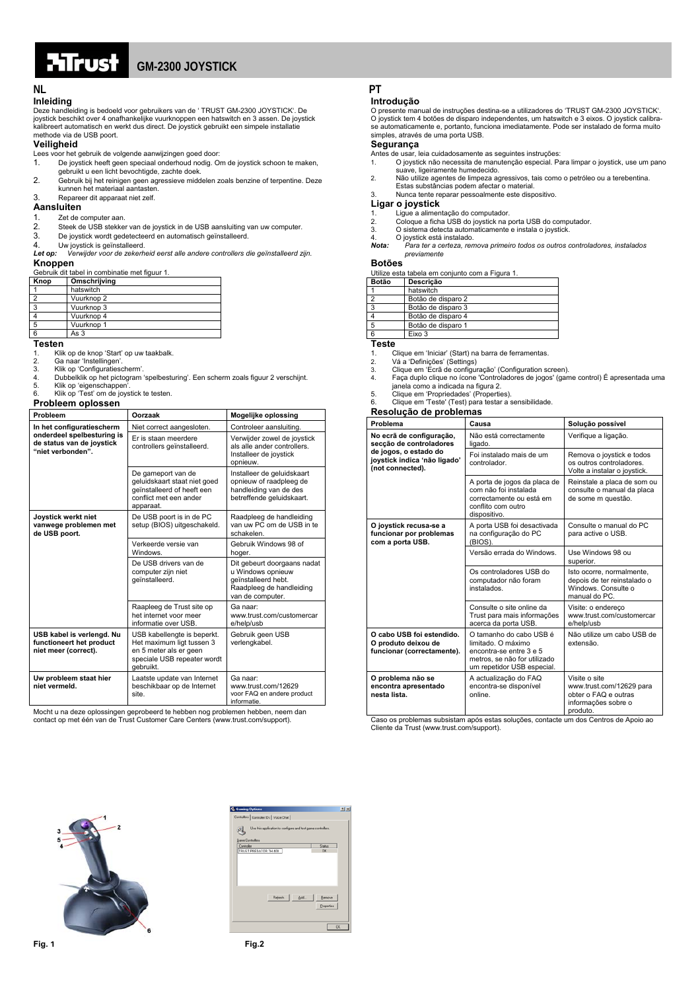

## **GM-2300 JOYSTICK**

## **Inleiding**

Deze handleiding is bedoeld voor gebruikers van de ' TRUST GM-2300 JOYSTICK'. De joystick beschikt over 4 onafhankelijke vuurknoppen een hatswitch en 3 assen. De joystick kalibreert automatisch en werkt dus direct. De joystick gebruikt een simpele installatie methode via de USB poort.

#### **Veiligheid**

Lees voor het gebruik de volgende aanwijzingen goed door:

- 1. De joystick heeft geen speciaal onderhoud nodig. Om de joystick schoon te maken, gebruikt u een licht bevochtigde, zachte doek.
- 2. Gebruik bij het reinigen geen agressieve middelen zoals benzine of terpentine. Deze kunnen het materiaal aantasten.
- 3. Repareer dit apparaat niet zelf.

#### **Aansluiten**

## 1. Zet de computer aan.<br>2 Steek de USB stekkel

- 2. Steek de USB stekker van de joystick in de USB aansluiting van uw computer.<br>3. De joystick wordt gedetecteerd en automatisch geïnstalleerd.
- 
- 
- 3. De joystick wordt gedetecteerd en automatisch geïnstalleerd.<br>4. Uw joystick is geïnstalleerd.<br>**Let op:** *Verwijder voor de zekerheid eerst alle andere controllers die geïnstalleerd zijn.* **Knoppen**

| Gebruik dit tabel in combinatie met figuur 1. |              |  |
|-----------------------------------------------|--------------|--|
| Knop                                          | Omschrijving |  |
|                                               | hatswitch    |  |
|                                               | Vuurknop 2   |  |
| 3                                             | Vuurknop 3   |  |
|                                               | Vuurknop 4   |  |
| -5                                            | Vuurknop 1   |  |
|                                               | As $3$       |  |

#### **Testen**

- 1. Klik op de knop 'Start' op uw taakbalk.<br>2. Ga naar 'Instellingen'.
- 2. Ga naar 'Instellingen'.<br>3. Klik on 'Configuraties
- 3. Klik op 'Configuratiescherm'.
- 4. Dubbelklik op het pictogram 'spelbesturing'. Een scherm zoals figuur 2 verschijnt.<br>5. Klik op 'eigenschappen'.
- 5. Klik op 'eigenschappen'. 6. Klik op 'Test' om de joystick te testen.

#### **Probleem oplossen**

| Probleem                                                                      | Oorzaak                                                                                                                        | Mogelijke oplossing                                                                                                     |  |  |
|-------------------------------------------------------------------------------|--------------------------------------------------------------------------------------------------------------------------------|-------------------------------------------------------------------------------------------------------------------------|--|--|
| In het configuratiescherm                                                     | Niet correct aangesloten.                                                                                                      | Controleer aansluiting.                                                                                                 |  |  |
| onderdeel spelbesturing is<br>de status van de joystick<br>"niet verbonden".  | Er is staan meerdere<br>controllers geïnstalleerd.                                                                             | Verwijder zowel de joystick<br>als alle ander controllers.<br>Installeer de joystick<br>opnieuw.                        |  |  |
|                                                                               | De gameport van de<br>geluidskaart staat niet goed<br>geïnstalleerd of heeft een<br>conflict met een ander<br>apparaat.        | Installeer de geluidskaart<br>opnieuw of raadpleeg de<br>handleiding van de des<br>betreffende geluidskaart.            |  |  |
| Joystick werkt niet<br>vanwege problemen met<br>de USB poort.                 | De USB poort is in de PC<br>setup (BIOS) uitgeschakeld.                                                                        | Raadpleeg de handleiding<br>van uw PC om de USB in te<br>schakelen.                                                     |  |  |
|                                                                               | Verkeerde versie van<br>Windows.                                                                                               | Gebruik Windows 98 of<br>hoger.                                                                                         |  |  |
|                                                                               | De USB drivers van de<br>computer zijn niet<br>geïnstalleerd.                                                                  | Dit gebeurt doorgaans nadat<br>u Windows opnieuw<br>geïnstalleerd hebt.<br>Raadpleeg de handleiding<br>van de computer. |  |  |
|                                                                               | Raapleeg de Trust site op<br>het internet voor meer<br>informatie over USB.                                                    | Ga naar:<br>www.trust.com/customercar<br>e/help/usb                                                                     |  |  |
| USB kabel is verlengd. Nu<br>functioneert het product<br>niet meer (correct). | USB kabellengte is beperkt.<br>Het maximum ligt tussen 3<br>en 5 meter als er geen<br>speciale USB repeater wordt<br>gebruikt. | Gebruik geen USB<br>verlengkabel.                                                                                       |  |  |
| Uw probleem staat hier<br>niet vermeld.                                       | Laatste update van Internet<br>beschikbaar op de Internet<br>site.                                                             | Ga naar:<br>www.trust.com/12629<br>voor FAQ en andere product<br>informatie.                                            |  |  |

Mocht u na deze oplossingen geprobeerd te hebben nog problemen hebben, neem dan contact op met één van de Trust Customer Care Centers (www.trust.com/support).

## **NL PT**

#### **Introdução**

O presente manual de instruções destina-se a utilizadores do 'TRUST GM-2300 JOYSTICK'. O joystick tem 4 botões de disparo independentes, um hatswitch e 3 eixos. O joystick calibrase automaticamente e, portanto, funciona imediatamente. Pode ser instalado de forma muito simples, através de uma porta USB.

#### **Segurança**

- 
- Antes de usar, leia cuidadosamente as seguintes instruções: 1. O joystick não necessita de manutenção especial. Para limpar o joystick, use um pano suave, ligeiramente humedecido.
- 2. Não utilize agentes de limpeza agressivos, tais como o petróleo ou a terebentina. Estas substâncias podem afectar o material.

#### 3. Nunca tente reparar pessoalmente este dispositivo.

#### **Ligar o joystick**

- 1. Ligue a alimentação do computador. 2. Coloque a ficha USB do joystick na porta USB do computador.
- 3. O sistema detecta automaticamente e instala o joystick.
- 
- 4. O joystick está instalado.<br>**Nota:** Para ter a certeza, ren *Nota: Para ter a certeza, remova primeiro todos os outros controladores, instalados previamente*

#### **Botões**

Utilize esta tabela em conjunto com a Figura 1.

|       | <u>Utilize esta tabela en conjunto com a Figura 1.</u> |  |
|-------|--------------------------------------------------------|--|
| Botão | Descricão                                              |  |
|       | hatswitch                                              |  |
|       | Botão de disparo 2                                     |  |
| 3     | Botão de disparo 3                                     |  |
|       | Botão de disparo 4                                     |  |
| 5     | Botão de disparo 1                                     |  |
| 6     | Eixo 3                                                 |  |

## **Teste**

1. Clique em 'Iniciar' (Start) na barra de ferramentas.

2. Vá a 'Definições' (Settings) 3. Clique em 'Ecrã de configuração' (Configuration screen).

- 4. Faça duplo clique no ícone 'Controladores de jogos' (game control) É apresentada uma janela como a indicada na figura 2. 5. Clique em 'Propriedades' (Properties).
- 

6. Clique em 'Teste' (Test) para testar a sensibilidade. **Resolução de problemas** 

| nooonagao ao propionias<br>Problema                                            | Causa                                                                                                                                  | Solução possível                                                                                     |
|--------------------------------------------------------------------------------|----------------------------------------------------------------------------------------------------------------------------------------|------------------------------------------------------------------------------------------------------|
|                                                                                |                                                                                                                                        |                                                                                                      |
| No ecrã de configuração,<br>secção de controladores                            | Não está correctamente<br>ligado.                                                                                                      | Verifique a ligação.                                                                                 |
| de jogos, o estado do<br>joystick indica 'não ligado'<br>(not connected).      | Foi instalado mais de um<br>controlador.                                                                                               | Remova o joystick e todos<br>os outros controladores.<br>Volte a instalar o joystick.                |
|                                                                                | A porta de jogos da placa de<br>com não foi instalada<br>correctamente ou está em<br>conflito com outro<br>dispositivo.                | Reinstale a placa de som ou<br>consulte o manual da placa<br>de some m questão.                      |
| O joystick recusa-se a<br>funcionar por problemas<br>com a porta USB.          | A porta USB foi desactivada<br>na configuração do PC<br>(BIOS).                                                                        | Consulte o manual do PC<br>para active o USB.                                                        |
|                                                                                | Versão errada do Windows.                                                                                                              | Use Windows 98 ou<br>superior.                                                                       |
|                                                                                | Os controladores USB do<br>computador não foram<br>instalados.                                                                         | Isto ocorre, normalmente,<br>depois de ter reinstalado o<br>Windows, Consulte o<br>manual do PC.     |
|                                                                                | Consulte o site online da<br>Trust para mais informações<br>acerca da porta USB.                                                       | Visite: o endereco<br>www.trust.com/customercar<br>e/help/usb                                        |
| O cabo USB foi estendido.<br>O produto deixou de<br>funcionar (correctamente). | O tamanho do cabo USB é<br>limitado. O máximo<br>encontra-se entre 3 e 5<br>metros, se não for utilizado<br>um repetidor USB especial. | Não utilize um cabo USB de<br>extensão.                                                              |
| O problema não se<br>encontra apresentado<br>nesta lista.                      | A actualização do FAQ<br>encontra-se disponível<br>online.                                                                             | Visite o site<br>www.trust.com/12629 para<br>obter o FAQ e outras<br>informações sobre o<br>produto. |

produto. Caso os problemas subsistam após estas soluções, contacte um dos Centros de Apoio ao Cliente da Trust (www.trust.com/support).



| <b>L</b> Gaming Options                                           | T[X]       |  |
|-------------------------------------------------------------------|------------|--|
| Controllers Controller IDs   Voice Chat                           |            |  |
| Use this application to configure and test game controllers.<br>곈 |            |  |
| Game Controllers<br>Controller                                    | Status     |  |
| TRUST PREDATOR TH 400                                             | OK.        |  |
|                                                                   |            |  |
|                                                                   |            |  |
|                                                                   |            |  |
|                                                                   |            |  |
|                                                                   |            |  |
| Rebeth<br>Add                                                     | Benove     |  |
|                                                                   | Properties |  |
|                                                                   |            |  |
|                                                                   | OK         |  |
|                                                                   |            |  |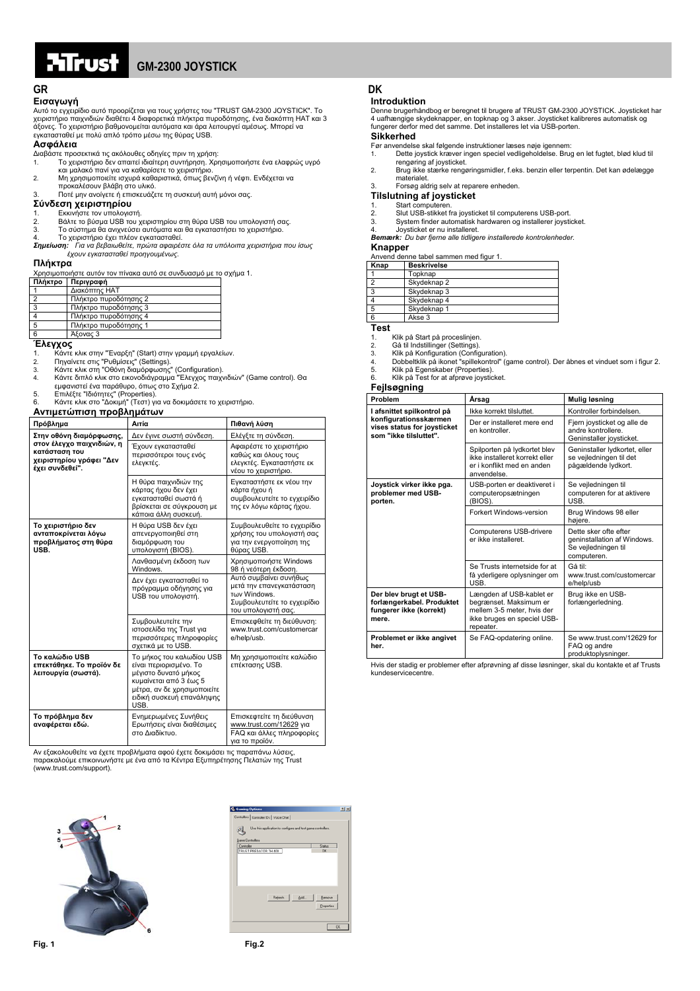

## **GM-2300 JOYSTICK**

### **GR** DK

### **Εισαγωγή**

Αυτό το εγχειρίδιο αυτό προορίζεται για τους χρήστες του "TRUST GM-2300 JOYSTICK". Το χειριστήριο παιχνιδιών διαθέτει 4 διαφορετικά πλήκτρα πυροδότησης, ένα διακόπτη HAT και 3 άξονες. Το χειριστήριο βαθµονοµείται αυτόµατα και άρα λειτουργεί αµέσως. Μπορεί να εγκατασταθεί µε πολύ απλό τρόπο µέσω της θύρας USB.

#### **Ασφάλεια**

- ∆ιαβάστε προσεκτικά τις ακόλουθες οδηγίες πριν τη χρήση: 1. Το χειριστήριο δεν απαιτεί ιδιαίτερη συντήρηση. Χρησιµοποιήστε ένα ελαφρώς υγρό
- και µαλακό πανί για να καθαρίσετε το χειριστήριο. 2. Μη χρησιµοποιείτε ισχυρά καθαριστικά, όπως βενζίνη ή νέφτι. Ενδέχεται να προκαλέσουν βλάβη στο υλικό. 3. Ποτέ µην ανοίγετε ή επισκευάζετε τη συσκευή αυτή µόνοι σας.
- 

#### **Σύνδεση χειριστηρίου**

- 
- 1. Εκκινήστε τον υπολογιστή. 2. Βάλτε το βύσµα USB του χειριστηρίου στη θύρα USB του υπολογιστή σας.
- 
- 3. Το σύστημα θα ανιχνεύσει αυτόματα και θα εγκαταστήσει το χειριστήριο.<br>4. Το χειριστήριο έχει πλέον εγκατασταθεί.<br>**Σημείωση:** Για να βεβαιωθείτε, πρώτα αφαιρέστε όλα τα υπόλοιπα χειριστήρια που ίσως *έχουν εγκατασταθεί προηγουµένως.*

#### **Πλήκτρα**

Χρησιµοποιήστε αυτόν τον πίνακα αυτό σε συνδυασµό µε το σχήµα 1.

| Πλήκτρο | Περιγραφή             |
|---------|-----------------------|
|         | Διακόπτης ΗΑΤ         |
| ົ       | Πλήκτρο πυροδότησης 2 |
| 3       | Πλήκτρο πυροδότησης 3 |
|         | Πλήκτρο πυροδότησης 4 |
| 5       | Πλήκτρο πυροδότησης 1 |
|         | $A$ <i>Fovor</i> 3    |

- 
- 6 | Άξονας 3<br>1. Κάντε κλικ στην "Έναρξη" (Start) στην γραμμή εργαλείων.<br>2. Πηγαίνετε στις "Ρυθμίσεις" (Settings).<br>2. Κάντε κλικ στη "Όθόνη διαμόρφωσης" (Configuration).<br>4. Κάντε διπλό κλικ στο εικονοδιάγραμμα "Έλεγχος παι
- 
- 

| Αντιμετώπιση προβλημάτων                                                                  |                                                                                                                                                                           |                                                                                                                           |  |  |
|-------------------------------------------------------------------------------------------|---------------------------------------------------------------------------------------------------------------------------------------------------------------------------|---------------------------------------------------------------------------------------------------------------------------|--|--|
| Πρόβλημα                                                                                  | Αιτία                                                                                                                                                                     | Πιθανή λύση                                                                                                               |  |  |
| Στην οθόνη διαμόρφωσης,                                                                   | Δεν έγινε σωστή σύνδεση.                                                                                                                                                  | Ελέγξτε τη σύνδεση.                                                                                                       |  |  |
| στον έλεγχο παιχνιδιών, η<br>κατάσταση του<br>χειριστηρίου γράφει "Δεν<br>έχει συνδεθεί". | Έχουν εγκατασταθεί<br>περισσότεροι τους ενός<br>ελεγκτές.                                                                                                                 | Αφαιρέστε το χειριστήριο<br>καθώς και όλους τους<br>ελεγκτές. Εγκαταστήστε εκ<br>νέου το χειριστήριο.                     |  |  |
|                                                                                           | Η θύρα παιχνιδιών της<br>κάρτας ήχου δεν έχει<br>εγκατασταθεί σωστά ή<br>βρίσκεται σε σύγκρουση με<br>κάποια άλλη συσκευή.                                                | Εγκαταστήστε εκ νέου την<br>κάρτα ήχου ή<br>συμβουλευτείτε το εγχειρίδιο<br>της εν λόγω κάρτας ήχου.                      |  |  |
| Το χειριστήριο δεν<br>ανταποκρίνεται λόγω<br>προβλήματος στη θύρα<br>USB.                 | Η θύρα USB δεν έχει<br>απενεργοποιηθεί στη<br>διαμόρφωση του<br>υπολογιστή (BIOS).                                                                                        | Συμβουλευθείτε το εγχειρίδιο<br>χρήσης του υπολογιστή σας<br>για την ενεργοποίηση της<br>θύρας USB.                       |  |  |
|                                                                                           | Λανθασμένη έκδοση των<br>Windows.                                                                                                                                         | Χρησιμοποιήστε Windows<br>98 ή νεότερη έκδοση.                                                                            |  |  |
|                                                                                           | Δεν έχει εγκατασταθεί το<br>πρόγραμμα οδήγησης για<br>USB του υπολογιστή.                                                                                                 | Αυτό συμβαίνει συνήθως<br>μετά την επανεγκατάσταση<br>των Windows.<br>Συμβουλευτείτε το εγχειρίδιο<br>του υπολογιστή σας. |  |  |
|                                                                                           | Συμβουλευτείτε την<br>ιστοσελίδα της Trust για<br>περισσότερες πληροφορίες<br>σχετικά με το USB.                                                                          | Επισκεφθείτε τη διεύθυνση:<br>www.trust.com/customercar<br>e/help/usb.                                                    |  |  |
| Το καλώδιο USB<br>επεκτάθηκε. Το προϊόν δε<br>λειτουργία (σωστά).                         | Το μήκος του καλωδίου USB<br>είναι περιορισμένο. Το<br>μέγιστο δυνατό μήκος<br>κυμαίνεται από 3 έως 5<br>μέτοα, αν δε χρησιμοποιείτε<br>ειδική συσκευή επανάληψης<br>USB. | Μη χρησιμοποιείτε καλώδιο<br>επέκτασης USB.                                                                               |  |  |
| Το πρόβλημα δεν<br>αναφέρεται εδώ.                                                        | Ενημερωμένες Συνήθεις<br>Ερωτήσεις είναι διαθέσιμες<br>στο Διαδίκτυο.                                                                                                     | Επισκεφτείτε τη διεύθυνση<br>www.trust.com/12629 yia<br>FAQ και άλλες πληροφορίες<br>νια το προϊόν.                       |  |  |

Αν εξακολουθείτε να έχετε προβλήµατα αφού έχετε δοκιµάσει τις παραπάνω λύσεις, παρακαλούµε επικοινωνήστε µε ένα από τα Κέντρα Εξυπηρέτησης Πελατών της Trust (www.trust.com/support).



| Controllers   Controller IDs   Voice Chat                    |                      |  |  |
|--------------------------------------------------------------|----------------------|--|--|
| Use this application to configure and test game controllers. |                      |  |  |
| Game Controllers                                             |                      |  |  |
| Controller                                                   | Status               |  |  |
| TRUST PREDATOR TH 400                                        | OK.                  |  |  |
|                                                              |                      |  |  |
| Rebeth<br>Add.                                               | Benove<br>Properties |  |  |
|                                                              | OK                   |  |  |

### **Introduktion**

Denne brugerhåndbog er beregnet til brugere af TRUST GM-2300 JOYSTICK. Joysticket har 4 uafhængige skydeknapper, en topknap og 3 akser. Joysticket kalibreres automatisk og fungerer derfor med det samme. Det installeres let via USB-porten.

### **Sikkerhed**

- Før anvendelse skal følgende instruktioner læses nøje igennem:
- 1. Dette joystick kræver ingen speciel vedligeholdelse. Brug en let fugtet, blød klud til rengøring af joysticket.
- 2. Brug ikke stærke rengøringsmidler, f.eks. benzin eller terpentin. Det kan ødelægge materialet.
- 3. Forsøg aldrig selv at reparere enheden.

**Tilslutning af joysticket** 

- 
- 1. Start computeren. 2. Slut USB-stikket fra joysticket til computerens USB-port. 3. System finder automatisk hardwaren og installerer joysticket.
- 
- 4. Joysticket er nu installeret.<br>**Bemærk:** Du bør fierne alle tidlige *Bemærk: Du bør fjerne alle tidligere installerede kontrolenheder.*

#### **Knapper**

Anvend denne tabel sammen med figur 1.

|      |   | Anveno acime tabér sammen meu nyar n |
|------|---|--------------------------------------|
| Knap |   | <b>Beskrivelse</b>                   |
|      |   | Topknap                              |
|      | ◠ | Skydeknap 2                          |
|      | 3 | Skydeknap 3                          |
|      |   | Skydeknap 4                          |
|      | 5 | Skydeknap 1                          |
|      |   | Akse 3                               |

**Test** 

- 1. Klik på Start på proceslinjen.<br>2. Gå til Indstillinger (Settings).
- 

2. Gå til Indstillinger (Settings). 3. Klik på Konfiguration (Configuration).

- 4. Dobbeltklik på ikonet "spillekontrol" (game control). Der åbnes et vinduet som i figur 2. 5. Klik på Egenskaber (Properties).
- 6. Klik på Test for at afprøve joysticket.

#### **Fejlsøgning**

| Problem                                                                                 | Årsag                                                                                                                        | Mulig løsning                                                                              |
|-----------------------------------------------------------------------------------------|------------------------------------------------------------------------------------------------------------------------------|--------------------------------------------------------------------------------------------|
| I afsnittet spilkontrol på                                                              | Ikke korrekt tilsluttet.                                                                                                     | Kontroller forbindelsen.                                                                   |
| konfigurationsskærmen<br>vises status for joysticket<br>som "ikke tilsluttet".          | Der er installeret mere end<br>en kontroller.                                                                                | Fjern joysticket og alle de<br>andre kontrollere.<br>Geninstaller joysticket.              |
|                                                                                         | Spilporten på lydkortet blev<br>ikke installeret korrekt eller<br>er i konflikt med en anden<br>anvendelse.                  | Geninstaller lydkortet, eller<br>se vejledningen til det<br>pågældende lydkort.            |
| Joystick virker ikke pga.<br>problemer med USB-<br>porten.                              | USB-porten er deaktiveret i<br>computeropsætningen<br>(BIOS).                                                                | Se vejledningen til<br>computeren for at aktivere<br>USB.                                  |
|                                                                                         | Forkert Windows-version                                                                                                      | Brug Windows 98 eller<br>høiere.                                                           |
|                                                                                         | Computerens USB-drivere<br>er ikke installeret.                                                                              | Dette sker ofte efter<br>geninstallation af Windows.<br>Se vejledningen til<br>computeren. |
|                                                                                         | Se Trusts internetside for at<br>få yderligere oplysninger om<br>USB.                                                        | Gå til:<br>www.trust.com/customercar<br>e/help/usb                                         |
| Der blev brugt et USB-<br>forlængerkabel. Produktet<br>fungerer ikke (korrekt)<br>mere. | Længden af USB-kablet er<br>begrænset. Maksimum er<br>mellem 3-5 meter, hvis der<br>ikke bruges en speciel USB-<br>repeater. | Brug ikke en USB-<br>forlængerledning.                                                     |
| Problemet er ikke angivet<br>her.                                                       | Se FAQ-opdatering online.                                                                                                    | Se www.trust.com/12629 for<br>FAQ og andre<br>produktoplysninger.                          |

Hvis der stadig er problemer efter afprøvning af disse løsninger, skal du kontakte et af Trusts kundeservicecen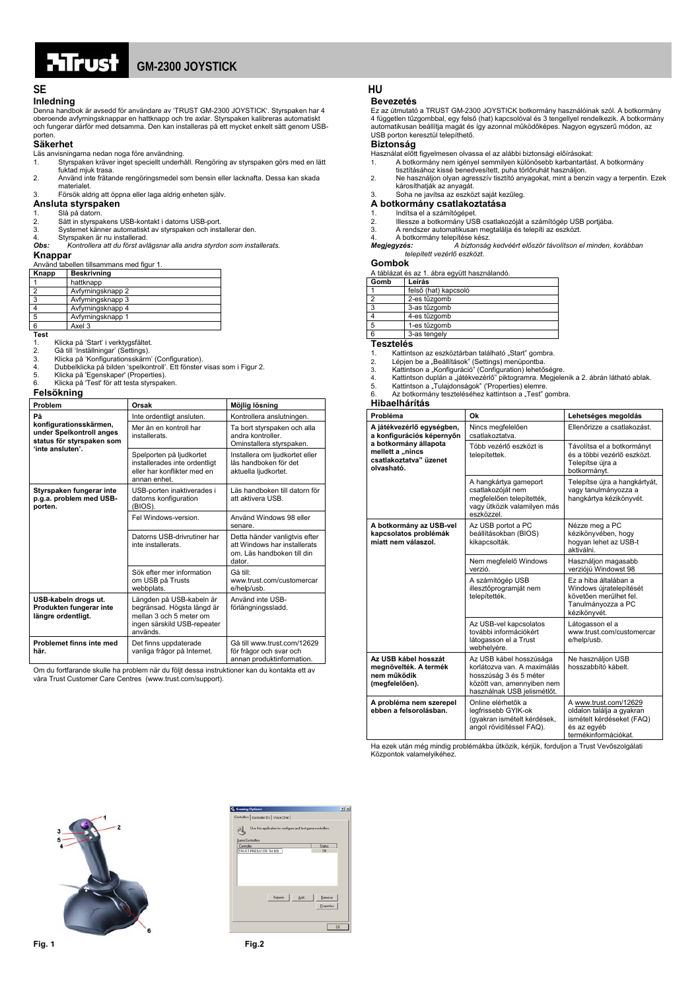

### **SE HU**

### **Inledning**

Denna handbok är avsedd för användare av 'TRUST GM-2300 JOYSTICK'. Styrspaken har 4 oberoende avfyrningsknappar en hattknapp och tre axlar. Styrspaken kalibreras automatiskt och fungerar därför med detsamma. Den kan installeras på ett mycket enkelt sätt genom USB-

## porten. **Säkerhet**

- 
- Läs anvisningarna nedan noga före användning. 1. Styrspaken kräver inget speciellt underhåll. Rengöring av styrspaken görs med en lätt fuktad mjuk trasa.
- 2. Använd inte frätande rengöringsmedel som bensin eller lacknafta. Dessa kan skada materialet.
- 3. Försök aldrig att öppna eller laga aldrig enheten själv.

### **Ansluta styrspaken**

- 
- 1. Slå på datorn. 2. Sätt in styrspakens USB-kontakt i datorns USB-port. 3. Systemet känner automatiskt av styrspaken och installerar den.
- 
- 4. Styrspaken är nu installerad. *Obs: Kontrollera att du först avlägsnar alla andra styrdon som installerats.*

#### **Knappar**

|  |  | Använd tabellen tillsammans med figur 1. |  |  |  |
|--|--|------------------------------------------|--|--|--|
|--|--|------------------------------------------|--|--|--|

| Knapp        | <b>Beskrivning</b> |  |  |
|--------------|--------------------|--|--|
|              | hattknapp          |  |  |
|              | Avfyrningsknapp 2  |  |  |
| $\mathbf{B}$ | Avfyrningsknapp 3  |  |  |
|              | Avfyrningsknapp 4  |  |  |
| -5           | Avfyrningsknapp 1  |  |  |
| 6            | Axel 3             |  |  |
|              |                    |  |  |

**Test**<br>1.<br>2.

1. Klicka på 'Start' i verktygsfältet. 2. Gå till 'Inställningar' (Settings).

- 
- 3. Klicka på 'Konfigurationsskärm' (Configuration). 4. Dubbelklicka på bilden 'spelkontroll'. Ett fönster visas som i Figur 2.
- 
- 5. Klicka på 'Egenskaper' (Properties). 6. Klicka på 'Test' för att testa styrspaken.

## **Felsökning**

|  |  | Feisokiii |  |
|--|--|-----------|--|
|  |  |           |  |

| Problem                                                                                             | Orsak                                                                                                                        | Möjlig lösning                                                                                        |
|-----------------------------------------------------------------------------------------------------|------------------------------------------------------------------------------------------------------------------------------|-------------------------------------------------------------------------------------------------------|
| På                                                                                                  | Inte ordentligt ansluten.                                                                                                    | Kontrollera anslutningen.                                                                             |
| konfigurationsskärmen,<br>under Spelkontroll anges<br>status för styrspaken som<br>'inte ansluten'. | Mer än en kontroll har<br>installerats.                                                                                      | Ta bort styrspaken och alla<br>andra kontroller.<br>Ominstallera styrspaken.                          |
|                                                                                                     | Spelporten på ljudkortet<br>installerades inte ordentligt<br>eller har konflikter med en<br>annan enhet.                     | Installera om ljudkortet eller<br>läs handboken för det<br>aktuella ljudkortet.                       |
| Styrspaken fungerar inte<br>p.g.a. problem med USB-<br>porten.                                      | USB-porten inaktiverades i<br>datorns konfiguration<br>(BIOS).                                                               | Läs handboken till datorn för<br>att aktivera USB.                                                    |
|                                                                                                     | Fel Windows-version.                                                                                                         | Använd Windows 98 eller<br>senare.                                                                    |
|                                                                                                     | Datorns USB-drivrutiner har<br>inte installerats.                                                                            | Detta händer vanligtvis efter<br>att Windows har installerats<br>om. Läs handboken till din<br>dator. |
|                                                                                                     | Sök efter mer information<br>om USB på Trusts<br>webbplats.                                                                  | Gå till:<br>www.trust.com/customercar<br>e/help/usb.                                                  |
| USB-kabeln drogs ut.<br>Produkten fungerar inte<br>längre ordentligt.                               | Längden på USB-kabeln är<br>begränsad. Högsta längd är<br>mellan 3 och 5 meter om<br>ingen särskild USB-repeater<br>används. | Använd inte USB-<br>förlängningssladd.                                                                |
| Problemet finns inte med<br>här.                                                                    | Det finns uppdaterade<br>vanliga frågor på Internet.                                                                         | Gå till www.trust.com/12629<br>för frågor och svar och<br>annan produktinformation.                   |

Om du fortfarande skulle ha problem när du följt dessa instruktioner kan du kontakta ett av våra Trust Customer Care Centres (www.trust.com/support).

#### **Bevezetés**

Ez az útmutató a TRUST GM-2300 JOYSTICK botkormány használóinak szól. A botkormány 4 független tűzgombbal, egy felső (hat) kapcsolóval és 3 tengellyel rendelkezik. A botkormány automatikusan beállítja magát és így azonnal működőképes. Nagyon egyszerű módon, az USB porton keresztül telepíthető.

#### **Biztonság**

- 
- Használat előtt figyelmesen olvassa el az alábbi biztonsági előírásokat: 1. A botkormány nem igényel semmilyen különösebb karbantartást. A botkormány
- tisztításához kissé benedvesített, puha törlőruhát használjon. 2. Ne használjon olyan agresszív tisztító anyagokat, mint a benzin vagy a terpentin. Ezek károsíthatják az anyagát. 3. Soha ne javítsa az eszközt saját kezűleg.

#### **A botkormány csatlakoztatása**

- 1. Indítsa el a számítógépet. 2. Illessze a botkormány USB csatlakozóját a számítógép USB portjába. 3. A rendszer automatikusan megtalálja és telepíti az eszközt. 4. A botkormány telepítése kész.
- 
- 

*Megjegyzés: A biztonság kedvéért először távolítson el minden, korábban telepített vezérlő eszközt.*

#### **Gombok**

|      | A táblázat és az 1. ábra együtt használandó. |  |  |
|------|----------------------------------------------|--|--|
| Gomb | Leírás                                       |  |  |
|      | felső (hat) kapcsoló                         |  |  |
| ີ    | 2-es tűzgomb                                 |  |  |
| 3    | 3-as tűzgomb                                 |  |  |
|      | 4-es tűzgomb                                 |  |  |
|      | 1-es tűzgomb                                 |  |  |

## 3-as tengely

- **Tesztelés**  1. Kattintson az eszköztárban található "Start" gombra.
- 
- 
- 2. Lépjen be a "Beállítások" (Settings) menüpontba.<br>3. Kattintson a "Konfiguráció" (Configuration) lehetőségre.<br>4. Kattintson duplán a "játékvezérlő" piktogramra. Megjelenik a 2. ábrán látható ablak.<br>5. Kattintson a "Tulaj
- 
- 

### **Hibaelhárítás**

| Probléma                                                                          | Ok                                                                                                                                            | Lehetséges megoldás                                                                                                    |
|-----------------------------------------------------------------------------------|-----------------------------------------------------------------------------------------------------------------------------------------------|------------------------------------------------------------------------------------------------------------------------|
| A játékvezérlő egységben,<br>a konfigurációs képernyőn                            | Nincs megfelelően<br>csatlakoztatva.                                                                                                          | Ellenőrizze a csatlakozást.                                                                                            |
| a botkormány állapota<br>mellett a "nincs<br>csatlakoztatva" üzenet<br>olvasható. | Több vezérlő eszközt is<br>telepítettek.                                                                                                      | Távolítsa el a botkormányt<br>és a többi vezérlő eszközt.<br>Telepítse úira a<br>botkormányt.                          |
|                                                                                   | A hangkártya gameport<br>csatlakozóját nem<br>megfelelően telepítették,<br>vagy ütközik valamilyen más<br>eszközzel.                          | Telepítse újra a hangkártyát,<br>vagy tanulmányozza a<br>hangkártya kézikönyvét.                                       |
| A botkormány az USB-vel<br>kapcsolatos problémák<br>miatt nem válaszol.           | Az USB portot a PC<br>beállításokban (BIOS)<br>kikapcsolták.                                                                                  | Nézze meg a PC<br>kézikönyvében, hogy<br>hogyan lehet az USB-t<br>aktiválni                                            |
|                                                                                   | Nem megfelelő Windows<br>verzió.                                                                                                              | Használjon magasabb<br>verzióiú Windowst 98                                                                            |
|                                                                                   | A számítógép USB<br>illesztőprogramját nem<br>telepítették.                                                                                   | Ez a hiba általában a<br>Windows újratelepítését<br>követően merülhet fel.<br>Tanulmányozza a PC<br>kézikönyvét.       |
|                                                                                   | Az USB-vel kapcsolatos<br>további információkért<br>látogasson el a Trust<br>webhelyére.                                                      | Látogasson el a<br>www.trust.com/customercar<br>e/help/usb.                                                            |
| Az USB kábel hosszát<br>meanövelték. A termék<br>nem működik<br>(megfelelően).    | Az USB kábel hosszúsága<br>korlátozva van. A maximálás<br>hosszúság 3 és 5 méter<br>között van, amennyiben nem<br>használnak USB jelismétlőt. | Ne használjon USB<br>hosszabbító kábelt.                                                                               |
| A probléma nem szerepel<br>ebben a felsorolásban.                                 | Online elérhetők a<br>leafrissebb GYIK-ok<br>(gyakran ismételt kérdések,<br>angol rövidítéssel FAQ).                                          | A www.trust.com/12629<br>oldalon találja a gyakran<br>ismételt kérdéseket (FAQ)<br>és az egyéb<br>termékinformációkat. |

Ha ezek után még mindig problémákba ütközik, kérjük, forduljon a Trust Vevőszolgálati Központok valamelyikéhez.



| <b>Gaming Options</b>                                              | 7x                   |
|--------------------------------------------------------------------|----------------------|
| Controllers   Controller IDs   Voice Chat                          |                      |
| Use this application to configure and test game controllers.<br>ġ, |                      |
| Game Controllers                                                   |                      |
| Controller                                                         | Status               |
| TRUST PREDATOR TH 400                                              | OK.                  |
|                                                                    |                      |
| Rebeth<br>Add                                                      | Benove<br>Properties |
|                                                                    | OK                   |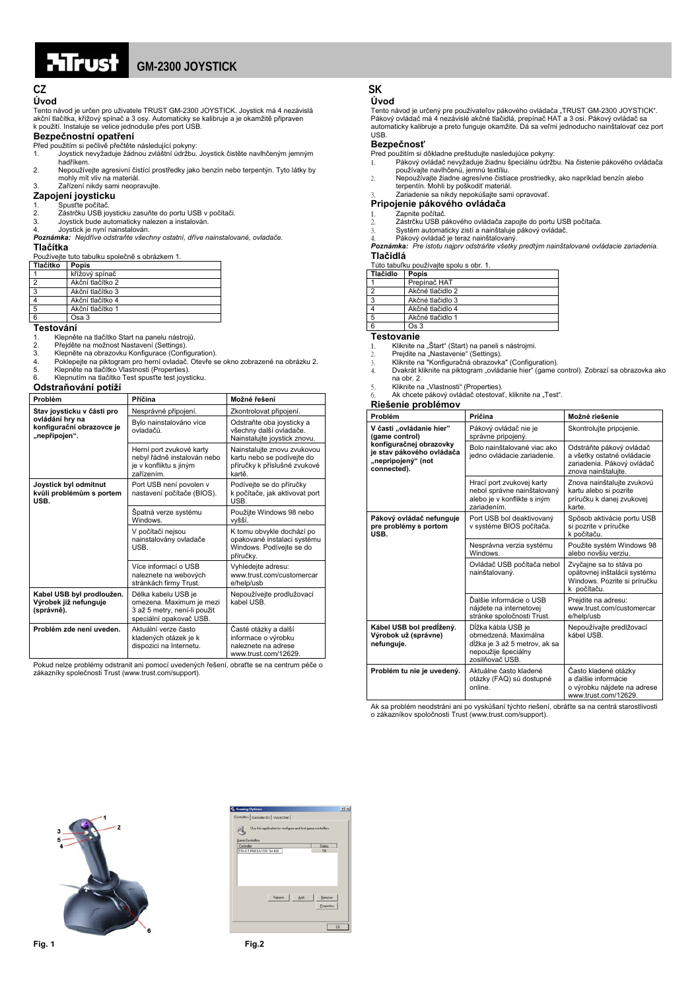# **FITC:**

## **GM-2300 JOYSTICK**

### **Úvod**

Tento návod je určen pro uživatele TRUST GM-2300 JOYSTICK. Joystick má 4 nezávislá akční tlačítka, křížový spínač a 3 osy. Automaticky se kalibruje a je okamžitě připraven k použití. Instaluje se velice jednoduše přes port USB.

**Bezpečnostní opatření** Před použitím si pečlivě přečtěte následující pokyny:

- 1. Joystick nevyžaduje žádnou zvláštní údržbu. Joystick čistěte navlhčeným jemným hadříkem.
- 2. Nepoužívejte agresivní čistící prostředky jako benzín nebo terpentýn. Tyto látky by mohly mít vliv na materiál.
- 3. Zařízení nikdy sami neopravujte.
- **Zapojení joysticku**
- 1. Spusťte počítač. 2. Zástrčku USB joysticku zasuňte do portu USB v počítači. 3. Joystick bude automaticky nalezen a instalován.
- 
- 4. Joystick je nyní nainstalován. *Poznámka: Nejdříve odstraňte všechny ostatní, dříve nainstalované, ovladače.*

### **Tlačítka**

Používejte tuto tabulku společně s obrázkem 1.

| Tlačítko | Popis            |
|----------|------------------|
|          | křížový spínač   |
|          | Akční tlačítko 2 |
| -3       | Akční tlačítko 3 |
|          | Akční tlačítko 4 |
| -5       | Akční tlačítko 1 |
|          | Osa 3            |

#### **Testování**

1. Klepněte na tlačítko Start na panelu nástrojů.<br>2. Přejděte na možnost Nastavení (Settings).

- 2. Přejděte na možnost Nastavení (Settings). 3. Klepněte na obrazovku Konfigurace (Configuration).
- 4. Poklepejte na piktogram pro herní ovladač. Otevře se okno zobrazené na obrázku 2. <br>5. Klepněte na tlačítko Vlastnosti (Properties).<br>6. Klepnutím na tlačítko Test spusťte test joysticku.
- 
- 

#### **Odstraňování potíží**

| Problém                                                          | Příčina                                                                                                    | Možné řešení                                                                                        |
|------------------------------------------------------------------|------------------------------------------------------------------------------------------------------------|-----------------------------------------------------------------------------------------------------|
| Stav joysticku v části pro                                       | Nesprávné připojení.                                                                                       | Zkontrolovat připojení.                                                                             |
| ovládání hry na<br>konfigurační obrazovce je<br>"nepřipojen".    | Bylo nainstalováno více<br>ûðshslvo                                                                        | Odstraňte oba joysticky a<br>všechny další ovladače.<br>Nainstalujte joystick znovu.                |
|                                                                  | Herní port zvukové karty<br>nebyl řádně instalován nebo<br>je v konfliktu s jiným<br>zařízením.            | Nainstalujte znovu zvukovou<br>kartu nebo se podívejte do<br>příručky k příslušné zvukové<br>kartě. |
| Joystick byl odmítnut<br>kvůli problémům s portem<br>USB.        | Port USB není povolen v<br>nastavení počítače (BIOS).                                                      | Podívejte se do příručky<br>k počítače, jak aktivovat port<br>USB.                                  |
|                                                                  | Špatná verze systému<br><b>Windows</b>                                                                     | Použijte Windows 98 nebo<br>vvšší.                                                                  |
|                                                                  | V počítači nejsou<br>nainstalovány ovladače<br>USB.                                                        | K tomu obvykle dochází po<br>opakované instalaci systému<br>Windows. Podívejte se do<br>příručky.   |
|                                                                  | Více informací o USB<br>naleznete na webových<br>stránkách firmy Trust.                                    | Vyhledejte adresu:<br>www.trust.com/customercar<br>e/help/usb                                       |
| Kabel USB byl prodloužen.<br>Výrobek již nefunguje<br>(správně). | Délka kabelu USB je<br>omezena. Maximum je mezi<br>3 až 5 metry, není-li použit<br>speciální opakovač USB. | Nepoužívejte prodlužovací<br>kabel USB                                                              |
| Problém zde není uveden.                                         | Aktuální verze často<br>kladených otázek je k<br>dispozici na Internetu.                                   | Časté otázky a další<br>informace o výrobku<br>naleznete na adrese<br>www.trust.com/12629.          |

Pokud nelze problémy odstranit ani pomocí uvedených řešení, obraťte se na centrum péče o zákazníky společnosti Trust (www.trust.com/support).

## **CZ SK**

### **Úvod**

Tento návod je určený pre používateľov pákového ovládača "TRUST GM-2300 JOYSTICK".<br>Pákový ovládač má 4 nezávislé akčné tlačidlá, prepínač HAT a 3 osi. Pákový ovládač sa automaticky kalibruje a preto funguje okamžite. Dá sa veľmi jednoducho nainštalovať cez port USB.

#### **Bezpečnosť**

- 
- Pred použitím si dôkladne preštudujte nasledujúce pokyny: 1. Pákový ovládač nevyžaduje žiadnu špeciálnu údržbu. Na čistenie pákového ovládača používajte navlhčenú, jemnú textíliu.
- 2. Nepoužívajte žiadne agresívne čistiace prostriedky, ako napríklad benzín alebo terpentín. Mohli by poškodiť materiál. 3. Zariadenie sa nikdy nepokúšajte sami opravovať.
- 

### **Pripojenie pákového ovládač<sup>a</sup>** 1. Zapnite počítač.

- 2. Zástrčku USB pákového ovládača zapojte do portu USB počítača.
- 
- 

3. Systém automaticky zistí a nainštaluje pákový ovládač. 4. Pákový ovládač je teraz nainštalovaný. *Poznámka: Pre istotu najprv odstráňte všetky predtým nainštalované ovládacie zariadenia.* **Tlačidlá**

#### **Tu**<br>uľku používajte spolu s obr. 1

| Tlačidlo | rato tabanta podzivajto opola o obi. 1.<br>Popis |  |
|----------|--------------------------------------------------|--|
|          | Prepínač HAT                                     |  |
| 2        | Akčné tlačidlo 2                                 |  |
| 3        | Akčné tlačidlo 3                                 |  |
|          | Akčné tlačidlo 4                                 |  |
| 5        | Akčné tlačidlo 1                                 |  |
| 6        | Os <sub>3</sub>                                  |  |

- 
- 
- **Testovanie**<br>1. Kliknite na "Štart" (Start) na paneli s nástrojmi.<br>2. Prejdite na "Nastavenie" (Settings).<br>3. Kliknite na "Konfiguračná obrazovka" (Configuration).<br>4. Dvakrát kliknite na piktogram "ovládanie hier" (game co na obr. 2.<br>5. Kliknite na "Vlastnosti" (Properties).<br>6. Ak chcete pákový ovládač otestovať, kliknite na "Test".
- 
- 

## **Riešenie problémov**

| Problém                                                                                                                                 | Príčina                                                                                                               | Možné riešenie                                                                                              |
|-----------------------------------------------------------------------------------------------------------------------------------------|-----------------------------------------------------------------------------------------------------------------------|-------------------------------------------------------------------------------------------------------------|
| V časti "ovládanie hier"<br>(game control)<br>konfiguračnej obrazovky<br>je stav pákového ovládača<br>"nepripojený" (not<br>connected). | Pákový ovládač nie je<br>správne pripojený.                                                                           | Skontrolujte pripojenie.                                                                                    |
|                                                                                                                                         | Bolo najnštalované vjac ako<br>jedno ovládacie zariadenie.                                                            | Odstráňte pákový ovládač<br>a všetky ostatné ovládacie<br>zariadenia. Pákový ovládač<br>znova nainštaluite. |
|                                                                                                                                         | Hrací port zvukovej karty<br>nebol správne nainštalovaný<br>alebo je v konflikte s iným<br>zariadením.                | Znova nainštalujte zvukovú<br>kartu alebo si pozrite<br>príručku k danej zvukovej<br>karte.                 |
| Pákový ovládač nefunguje<br>pre problémy s portom<br>USB.                                                                               | Port USB bol deaktivovaný<br>v systéme BIOS počítača.                                                                 | Spôsob aktivácie portu USB<br>si pozrite v príručke<br>k počítaču.                                          |
|                                                                                                                                         | Nesprávna verzia systému<br>Windows.                                                                                  | Použite systém Windows 98<br>alebo novšiu verziu.                                                           |
|                                                                                                                                         | Ovládač USB počítača nebol<br>nainštalovaný.                                                                          | Zvyčajne sa to stáva po<br>opätovnej inštalácii systému<br>Windows. Pozrite si príručku<br>k počítaču.      |
|                                                                                                                                         | Ďalšie informácie o USB<br>nájdete na internetovej<br>stránke spoločnosti Trust.                                      | Prejdite na adresu:<br>www.trust.com/customercar<br>e/help/usb                                              |
| Kábel USB bol predĺžený.<br>Výrobok už (správne)<br>nefunguje.                                                                          | Dĺžka kábla USB je<br>obmedzená. Maximálna<br>dĺžka je 3 až 5 metrov, ak sa<br>nepoužije špeciálny<br>zosilňovač USB. | Nepoužívajte predlžovací<br>kábel USB.                                                                      |
| Problém tu nie je uvedený.                                                                                                              | Aktuálne často kladené<br>otázky (FAQ) sú dostupné<br>online.                                                         | Často kladené otázky<br>a ďalšie informácie<br>o výrobku nájdete na adrese<br>www.trust.com/12629.          |

Ak sa problém neodstráni ani po vyskúšaní týchto riešení, obráťte sa na centrá starostlivosti o zákazníkov spoločnosti Trust (www.trust.com/support).



| <b>Q.</b> Gaming Options                                          | T[X]       |  |  |
|-------------------------------------------------------------------|------------|--|--|
| Controllers Controller IDs   Voice Chat                           |            |  |  |
| Use this application to configure and test game controllers.<br>3 |            |  |  |
| Game Controllers<br>Controller                                    | Status     |  |  |
| TRUST PREDATOR TH 400                                             | OK.        |  |  |
|                                                                   |            |  |  |
|                                                                   |            |  |  |
|                                                                   |            |  |  |
|                                                                   |            |  |  |
| Rebeth<br>Add                                                     | Benove     |  |  |
|                                                                   | Properties |  |  |
|                                                                   |            |  |  |
|                                                                   | OK.        |  |  |
|                                                                   |            |  |  |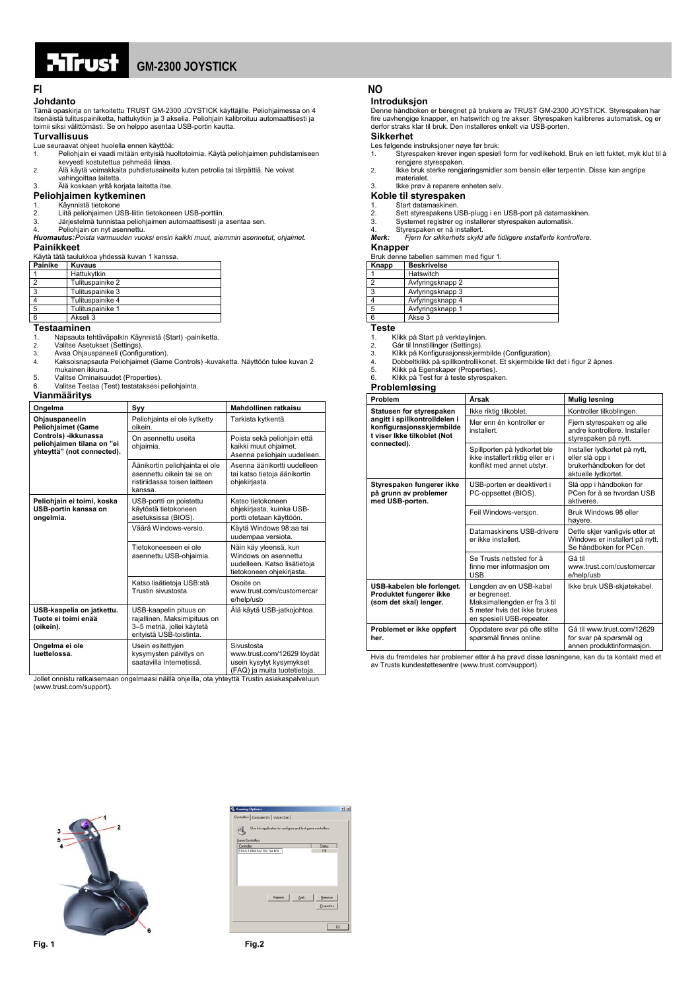# . . . . <del>. . . .</del> .

## **GM-2300 JOYSTICK**

## **Johdanto**

Tämä opaskirja on tarkoitettu TRUST GM-2300 JOYSTICK käyttäjille. Peliohjaimessa on 4 itsenäistä tulituspainiketta, hattukytkin ja 3 akselia. Peliohjain kalibroituu automaattisesti ja toimii siksi välittömästi. Se on helppo asentaa USB-portin kautta.

### **Turvallisuus**

Lue seuraavat ohjeet huolella ennen käyttöä:

- 1. Peliohjain ei vaadi mitään erityisiä huoltotoimia. Käytä peliohjaimen puhdistamiseen kevyesti kostutettua pehmeää liinaa.
- 2. Älä käytä voimakkaita puhdistusaineita kuten petrolia tai tärpättiä. Ne voivat vahingoittaa laitetta.
- 3. Älä koskaan yritä korjata laitetta itse.

### **Peliohjaimen kytkeminen**

- 
- 
- 

# 1. Käynnistä tietokone<br>2. Liitä peliohjaimen USB-liitin tietokoneen USB-porttiin.<br>3. Järjestelmä tunnistaa peliohjaimen automaattisesti ja asentaa sen.<br>4. Peliohjain on nyt asennettu.<br>**Huomautus:** Poista varmuuden vuoksi e

#### **Painikkeet**

| Käytä tätä taulukkoa yhdessä kuvan 1 kanssa. |
|----------------------------------------------|
|                                              |

| Painike | <b>Kuvaus</b>    |
|---------|------------------|
|         | Hattukytkin      |
|         | Tulituspainike 2 |
|         | Tulituspainike 3 |
|         | Tulituspainike 4 |
| -5      | Tulituspainike 1 |
| 6       | Akseli 3         |

#### **Testaaminen**

1. Napsauta tehtäväpalkin Käynnistä (Start) -painiketta.<br>2. Valitse Asetukset (Settings)

- 2. Valitse Asetukset (Settings). 3. Avaa Ohjauspaneeli (Configuration).
- 
- 4. Kaksoisnapsauta Peliohjaimet (Game Controls) -kuvaketta. Näyttöön tulee kuvan 2 mukainen ikkuna.
- 5. Valitse Ominaisuudet (Properties). 6. Valitse Testaa (Test) testataksesi peliohjainta.

### **Vianmääritys**

| Ongelma                                                                                                                  | Syy                                                                                                                                                                     | Mahdollinen ratkaisu                                                                                       |
|--------------------------------------------------------------------------------------------------------------------------|-------------------------------------------------------------------------------------------------------------------------------------------------------------------------|------------------------------------------------------------------------------------------------------------|
| Ohjauspaneelin<br>Peliohjaimet (Game<br>Controls) -ikkunassa<br>peliohjaimen tilana on "ei<br>yhteyttä" (not connected). | Peliohjainta ei ole kytketty<br>oikein.                                                                                                                                 | Tarkista kytkentä.                                                                                         |
|                                                                                                                          | On asennettu useita<br>ohjaimia.                                                                                                                                        | Poista sekä peliohjain että<br>kaikki muut ohjaimet.<br>Asenna peliohjain uudelleen.                       |
|                                                                                                                          | Äänikortin peliohjainta ei ole<br>asennettu oikein tai se on<br>ristiriidassa toisen laitteen<br>kanssa.                                                                | Asenna äänikortti uudelleen<br>tai katso tietoja äänikortin<br>ohjekirjasta.                               |
| Peliohjain ei toimi, koska<br>USB-portin kanssa on<br>ongelmia.                                                          | USB-portti on poistettu<br>käytöstä tietokoneen<br>asetuksissa (BIOS).                                                                                                  | Katso tietokoneen<br>ohjekirjasta, kuinka USB-<br>portti otetaan käyttöön.                                 |
|                                                                                                                          | Väärä Windows-versio.                                                                                                                                                   | Käytä Windows 98:aa tai<br>uudempaa versiota.                                                              |
|                                                                                                                          | Tietokoneeseen ei ole<br>asennettu USB-ohjaimia.                                                                                                                        | Näin käy yleensä, kun<br>Windows on asennettu<br>uudelleen. Katso lisätietoja<br>tietokoneen ohjekirjasta. |
|                                                                                                                          | Katso lisätietoja USB:stä<br>Trustin sivustosta.                                                                                                                        | Osoite on<br>www.trust.com/customercar<br>e/help/usb                                                       |
| USB-kaapelia on jatkettu.<br>Tuote ei toimi enää<br>(oikein).                                                            | USB-kaapelin pituus on<br>rajallinen. Maksimipituus on<br>3-5 metriä, jollei käytetä<br>erityistä USB-toistinta.                                                        | Älä käytä USB-jatkojohtoa.                                                                                 |
| Ongelma ei ole<br>luettelossa.                                                                                           | Usein esitettyjen<br>kysymysten päivitys on<br>saatavilla Internetissä.<br>ollet ennistu ratkojeemaan engelmaasi näillä ehioilla, eta yhteyttä Trustin esiakoenakvaluun | Sivustosta<br>www.trust.com/12629 löydät<br>usein kysytyt kysymykset<br>(FAQ) ja muita tuotetietoja.       |

Jollet onnistu ratkaisemaan ongelmaasi näillä ohjeilla, ota yhteyttä Trustin asiakaspalveluun (www.trust.com/support).

### **FI** NO

### **Introduksjon**

Denne håndboken er beregnet på brukere av TRUST GM-2300 JOYSTICK. Styrespaken har<br>fire uavhengige knapper, en hatswitch og tre akser. Styrespaken kalibreres automatisk, og er<br>derfor straks klar til bruk. Den installeres en

### **Sikkerhet**

- Les følgende instruksjoner nøye før bruk: 1. Styrespaken krever ingen spesiell form for vedlikehold. Bruk en lett fuktet, myk klut til å rengjøre styrespaken.
- 2. Ikke bruk sterke rengjøringsmidler som bensin eller terpentin. Disse kan angripe
- materialet. 3. Ikke prøv å reparere enheten selv.

## **Koble til styrespaken**

- 
- 1. Start datamaskinen.<br>2. Sett styrespakens U
- 2. Sett styrespakens USB-plugg i en USB-port på datamaskinen. 3. Systemet registrer og installerer styrespaken automatisk. 4. Styrespaken er nå installert.
- 
- *Merk: Fjern for sikkerhets skyld alle tidligere installerte kontrollere.*

## **Knapper**

Bruk denne tabellen sammen med figur 1.

| Knapp | <b>Beskrivelse</b> |  |
|-------|--------------------|--|
|       | Hatswitch          |  |
|       | Avfyringsknapp 2   |  |
| 3     | Avfyringsknapp 3   |  |
|       | Avfyringsknapp 4   |  |
| 5     | Avfyringsknapp 1   |  |
| 6     | Akse 3             |  |

**Teste** 

- 1. Klikk på Start på verktøylinjen.<br>2. Går til Innstillinger (Settings)
- 2. Går til Innstillinger (Settings). 3. Klikk på Konfigurasjonsskjermbilde (Configuration).
- 
- 4. Dobbeltklikk på spillkontrollikonet. Et skjermbilde likt det i figur 2 åpnes. 5. Klikk på Egenskaper (Properties). 6. Klikk på Test for å teste styrespaken.
- 

#### **Problemløsing**

| Problem                                                                                                                              | Årsak                                                                                                                                 | Mulig løsning                                                                                     |
|--------------------------------------------------------------------------------------------------------------------------------------|---------------------------------------------------------------------------------------------------------------------------------------|---------------------------------------------------------------------------------------------------|
| Statusen for styrespaken<br>angitt i spillkontrolldelen i<br>konfigurasjonsskjermbilde<br>t viser Ikke tilkoblet (Not<br>connected). | Ikke riktig tilkoblet.                                                                                                                | Kontroller tilkoblingen.                                                                          |
|                                                                                                                                      | Mer enn én kontroller er<br>installert.                                                                                               | Fjern styrespaken og alle<br>andre kontrollere. Installer<br>styrespaken på nytt.                 |
|                                                                                                                                      | Spillporten på lydkortet ble<br>ikke installert riktig eller er i<br>konflikt med annet utstyr.                                       | Installer lydkortet på nytt,<br>eller slå opp i<br>brukerhåndboken for det<br>aktuelle lydkortet. |
| Styrespaken fungerer ikke<br>på grunn av problemer<br>med USB-porten.                                                                | USB-porten er deaktivert i<br>PC-oppsettet (BIOS).                                                                                    | Slå opp i håndboken for<br>PCen for å se hvordan USB<br>aktiveres.                                |
|                                                                                                                                      | Feil Windows-versjon.                                                                                                                 | Bruk Windows 98 eller<br>høyere.                                                                  |
|                                                                                                                                      | Datamaskinens USB-drivere<br>er ikke installert.                                                                                      | Dette skjer vanligvis etter at<br>Windows er installert på nytt.<br>Se håndboken for PCen.        |
|                                                                                                                                      | Se Trusts nettsted for å<br>finne mer informasjon om<br>USB.                                                                          | Gå til<br>www.trust.com/customercar<br>e/help/usb                                                 |
| USB-kabelen ble forlenget.<br>Produktet fungerer ikke<br>(som det skal) lenger.                                                      | Lengden av en USB-kabel<br>er begrenset.<br>Maksimallengden er fra 3 til<br>5 meter hvis det ikke brukes<br>en spesiell USB-repeater. | Ikke bruk USB-skjøtekabel.                                                                        |
| Problemet er ikke oppført<br>her.                                                                                                    | Oppdatere svar på ofte stilte<br>spørsmål finnes online.                                                                              | Gå til www.trust.com/12629<br>for svar på spørsmål og<br>annen produktinformasjon.                |

Hvis du fremdeles har problemer etter å ha prøvd disse løsningene, kan du ta kontakt med et av Trusts kundestøttesentre (www.trust.com/support).



| <b>L</b> Gaming Options                                                               | T[X]       |
|---------------------------------------------------------------------------------------|------------|
| Controllers   Controller IDs   Voice Chat                                             |            |
| Use this application to configure and test game controllers.<br>马<br>Game Controllers |            |
| Controller                                                                            | Status     |
| TRUST PREDATOR TH 400                                                                 | OK.        |
|                                                                                       |            |
|                                                                                       |            |
| Rebeth<br>Add                                                                         | Benove     |
|                                                                                       | Properties |
|                                                                                       | OK.        |
|                                                                                       |            |